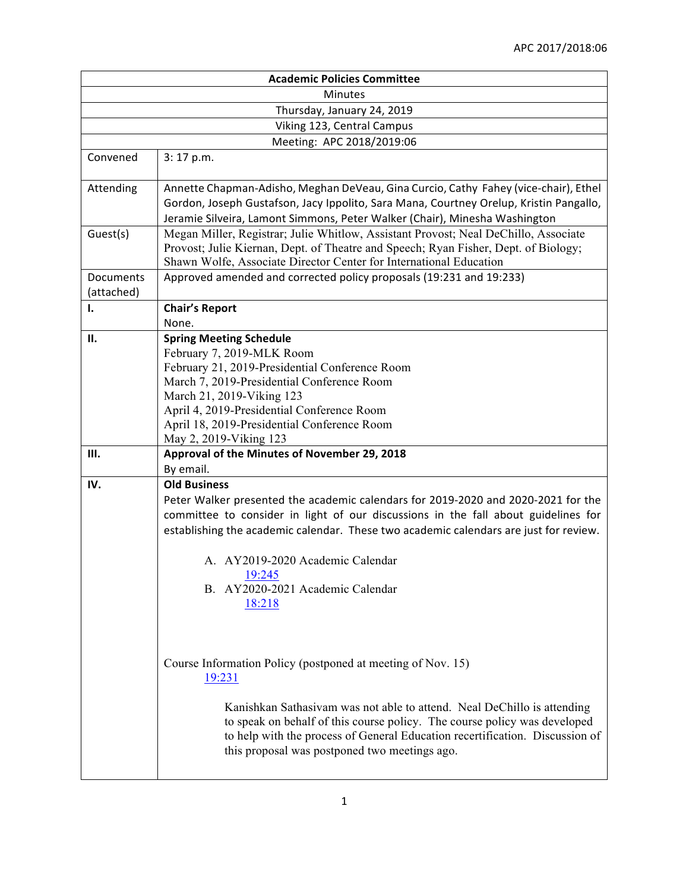|                            | <b>Academic Policies Committee</b>                                                                                                                                                                                                                                                                              |  |
|----------------------------|-----------------------------------------------------------------------------------------------------------------------------------------------------------------------------------------------------------------------------------------------------------------------------------------------------------------|--|
| <b>Minutes</b>             |                                                                                                                                                                                                                                                                                                                 |  |
| Thursday, January 24, 2019 |                                                                                                                                                                                                                                                                                                                 |  |
|                            | Viking 123, Central Campus                                                                                                                                                                                                                                                                                      |  |
|                            | Meeting: APC 2018/2019:06                                                                                                                                                                                                                                                                                       |  |
| Convened                   | 3:17 p.m.                                                                                                                                                                                                                                                                                                       |  |
| Attending                  | Annette Chapman-Adisho, Meghan DeVeau, Gina Curcio, Cathy Fahey (vice-chair), Ethel<br>Gordon, Joseph Gustafson, Jacy Ippolito, Sara Mana, Courtney Orelup, Kristin Pangallo,<br>Jeramie Silveira, Lamont Simmons, Peter Walker (Chair), Minesha Washington                                                     |  |
| Guest(s)                   | Megan Miller, Registrar; Julie Whitlow, Assistant Provost; Neal DeChillo, Associate<br>Provost; Julie Kiernan, Dept. of Theatre and Speech; Ryan Fisher, Dept. of Biology;<br>Shawn Wolfe, Associate Director Center for International Education                                                                |  |
| Documents<br>(attached)    | Approved amended and corrected policy proposals (19:231 and 19:233)                                                                                                                                                                                                                                             |  |
| Ι.                         | <b>Chair's Report</b><br>None.                                                                                                                                                                                                                                                                                  |  |
| Н.                         | <b>Spring Meeting Schedule</b><br>February 7, 2019-MLK Room<br>February 21, 2019-Presidential Conference Room<br>March 7, 2019-Presidential Conference Room<br>March 21, 2019-Viking 123<br>April 4, 2019-Presidential Conference Room<br>April 18, 2019-Presidential Conference Room<br>May 2, 2019-Viking 123 |  |
| Ш.                         | Approval of the Minutes of November 29, 2018                                                                                                                                                                                                                                                                    |  |
|                            | By email.                                                                                                                                                                                                                                                                                                       |  |
| IV.                        | <b>Old Business</b><br>Peter Walker presented the academic calendars for 2019-2020 and 2020-2021 for the<br>committee to consider in light of our discussions in the fall about guidelines for<br>establishing the academic calendar. These two academic calendars are just for review.                         |  |
|                            | A. AY2019-2020 Academic Calendar<br>19:245<br>B. AY2020-2021 Academic Calendar<br>18:218                                                                                                                                                                                                                        |  |
|                            | Course Information Policy (postponed at meeting of Nov. 15)<br>19:231                                                                                                                                                                                                                                           |  |
|                            | Kanishkan Sathasiyam was not able to attend. Neal DeChillo is attending<br>to speak on behalf of this course policy. The course policy was developed<br>to help with the process of General Education recertification. Discussion of<br>this proposal was postponed two meetings ago.                           |  |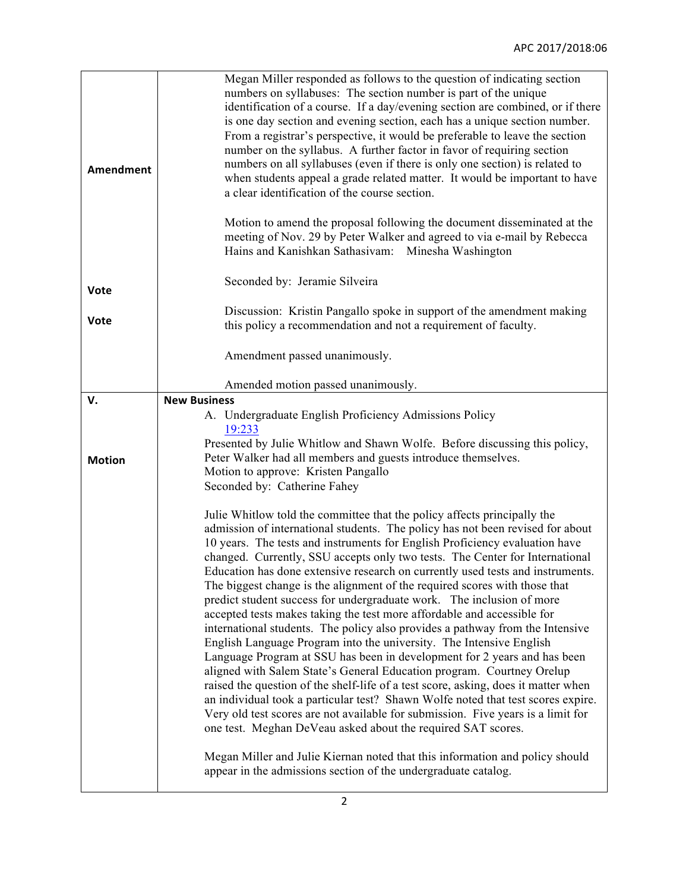| <b>Amendment</b> | Megan Miller responded as follows to the question of indicating section<br>numbers on syllabuses: The section number is part of the unique<br>identification of a course. If a day/evening section are combined, or if there<br>is one day section and evening section, each has a unique section number.<br>From a registrar's perspective, it would be preferable to leave the section<br>number on the syllabus. A further factor in favor of requiring section<br>numbers on all syllabuses (even if there is only one section) is related to<br>when students appeal a grade related matter. It would be important to have<br>a clear identification of the course section.<br>Motion to amend the proposal following the document disseminated at the<br>meeting of Nov. 29 by Peter Walker and agreed to via e-mail by Rebecca<br>Hains and Kanishkan Sathasivam: Minesha Washington |
|------------------|---------------------------------------------------------------------------------------------------------------------------------------------------------------------------------------------------------------------------------------------------------------------------------------------------------------------------------------------------------------------------------------------------------------------------------------------------------------------------------------------------------------------------------------------------------------------------------------------------------------------------------------------------------------------------------------------------------------------------------------------------------------------------------------------------------------------------------------------------------------------------------------------|
| Vote             | Seconded by: Jeramie Silveira                                                                                                                                                                                                                                                                                                                                                                                                                                                                                                                                                                                                                                                                                                                                                                                                                                                               |
| <b>Vote</b>      | Discussion: Kristin Pangallo spoke in support of the amendment making<br>this policy a recommendation and not a requirement of faculty.                                                                                                                                                                                                                                                                                                                                                                                                                                                                                                                                                                                                                                                                                                                                                     |
|                  | Amendment passed unanimously.                                                                                                                                                                                                                                                                                                                                                                                                                                                                                                                                                                                                                                                                                                                                                                                                                                                               |
|                  | Amended motion passed unanimously.                                                                                                                                                                                                                                                                                                                                                                                                                                                                                                                                                                                                                                                                                                                                                                                                                                                          |
| v.               | <b>New Business</b>                                                                                                                                                                                                                                                                                                                                                                                                                                                                                                                                                                                                                                                                                                                                                                                                                                                                         |
|                  | A. Undergraduate English Proficiency Admissions Policy<br>19:233                                                                                                                                                                                                                                                                                                                                                                                                                                                                                                                                                                                                                                                                                                                                                                                                                            |
|                  | Presented by Julie Whitlow and Shawn Wolfe. Before discussing this policy,                                                                                                                                                                                                                                                                                                                                                                                                                                                                                                                                                                                                                                                                                                                                                                                                                  |
| <b>Motion</b>    | Peter Walker had all members and guests introduce themselves.                                                                                                                                                                                                                                                                                                                                                                                                                                                                                                                                                                                                                                                                                                                                                                                                                               |
|                  | Motion to approve: Kristen Pangallo                                                                                                                                                                                                                                                                                                                                                                                                                                                                                                                                                                                                                                                                                                                                                                                                                                                         |
|                  | Seconded by: Catherine Fahey                                                                                                                                                                                                                                                                                                                                                                                                                                                                                                                                                                                                                                                                                                                                                                                                                                                                |
|                  | Julie Whitlow told the committee that the policy affects principally the                                                                                                                                                                                                                                                                                                                                                                                                                                                                                                                                                                                                                                                                                                                                                                                                                    |
|                  | admission of international students. The policy has not been revised for about                                                                                                                                                                                                                                                                                                                                                                                                                                                                                                                                                                                                                                                                                                                                                                                                              |
|                  | 10 years. The tests and instruments for English Proficiency evaluation have                                                                                                                                                                                                                                                                                                                                                                                                                                                                                                                                                                                                                                                                                                                                                                                                                 |
|                  | changed. Currently, SSU accepts only two tests. The Center for International<br>Education has done extensive research on currently used tests and instruments.                                                                                                                                                                                                                                                                                                                                                                                                                                                                                                                                                                                                                                                                                                                              |
|                  | The biggest change is the alignment of the required scores with those that                                                                                                                                                                                                                                                                                                                                                                                                                                                                                                                                                                                                                                                                                                                                                                                                                  |
|                  | predict student success for undergraduate work. The inclusion of more                                                                                                                                                                                                                                                                                                                                                                                                                                                                                                                                                                                                                                                                                                                                                                                                                       |
|                  | accepted tests makes taking the test more affordable and accessible for                                                                                                                                                                                                                                                                                                                                                                                                                                                                                                                                                                                                                                                                                                                                                                                                                     |
|                  | international students. The policy also provides a pathway from the Intensive<br>English Language Program into the university. The Intensive English                                                                                                                                                                                                                                                                                                                                                                                                                                                                                                                                                                                                                                                                                                                                        |
|                  | Language Program at SSU has been in development for 2 years and has been                                                                                                                                                                                                                                                                                                                                                                                                                                                                                                                                                                                                                                                                                                                                                                                                                    |
|                  | aligned with Salem State's General Education program. Courtney Orelup                                                                                                                                                                                                                                                                                                                                                                                                                                                                                                                                                                                                                                                                                                                                                                                                                       |
|                  | raised the question of the shelf-life of a test score, asking, does it matter when                                                                                                                                                                                                                                                                                                                                                                                                                                                                                                                                                                                                                                                                                                                                                                                                          |
|                  | an individual took a particular test? Shawn Wolfe noted that test scores expire.<br>Very old test scores are not available for submission. Five years is a limit for                                                                                                                                                                                                                                                                                                                                                                                                                                                                                                                                                                                                                                                                                                                        |
|                  | one test. Meghan DeVeau asked about the required SAT scores.                                                                                                                                                                                                                                                                                                                                                                                                                                                                                                                                                                                                                                                                                                                                                                                                                                |
|                  | Megan Miller and Julie Kiernan noted that this information and policy should                                                                                                                                                                                                                                                                                                                                                                                                                                                                                                                                                                                                                                                                                                                                                                                                                |
|                  | appear in the admissions section of the undergraduate catalog.                                                                                                                                                                                                                                                                                                                                                                                                                                                                                                                                                                                                                                                                                                                                                                                                                              |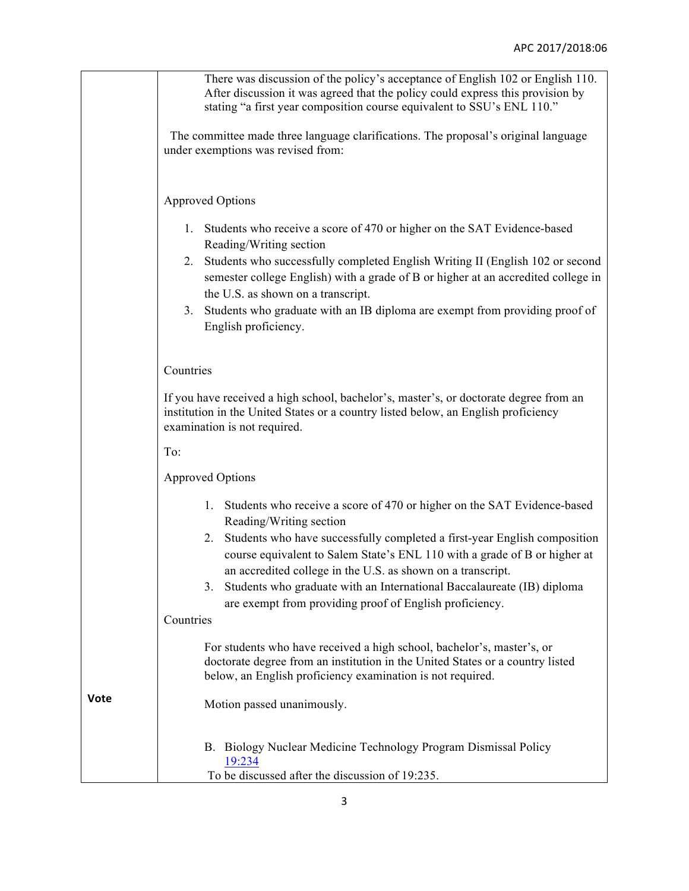|             | There was discussion of the policy's acceptance of English 102 or English 110.<br>After discussion it was agreed that the policy could express this provision by<br>stating "a first year composition course equivalent to SSU's ENL 110." |
|-------------|--------------------------------------------------------------------------------------------------------------------------------------------------------------------------------------------------------------------------------------------|
|             | The committee made three language clarifications. The proposal's original language<br>under exemptions was revised from:                                                                                                                   |
|             |                                                                                                                                                                                                                                            |
|             | <b>Approved Options</b>                                                                                                                                                                                                                    |
|             | Students who receive a score of 470 or higher on the SAT Evidence-based<br>1.<br>Reading/Writing section                                                                                                                                   |
|             | 2. Students who successfully completed English Writing II (English 102 or second<br>semester college English) with a grade of B or higher at an accredited college in<br>the U.S. as shown on a transcript.                                |
|             | 3. Students who graduate with an IB diploma are exempt from providing proof of<br>English proficiency.                                                                                                                                     |
|             | Countries                                                                                                                                                                                                                                  |
|             | If you have received a high school, bachelor's, master's, or doctorate degree from an<br>institution in the United States or a country listed below, an English proficiency<br>examination is not required.                                |
|             | To:                                                                                                                                                                                                                                        |
|             | <b>Approved Options</b>                                                                                                                                                                                                                    |
|             | Students who receive a score of 470 or higher on the SAT Evidence-based<br>1.<br>Reading/Writing section                                                                                                                                   |
|             | Students who have successfully completed a first-year English composition<br>2.<br>course equivalent to Salem State's ENL 110 with a grade of B or higher at<br>an accredited college in the U.S. as shown on a transcript.                |
|             | Students who graduate with an International Baccalaureate (IB) diploma<br>3.<br>are exempt from providing proof of English proficiency.                                                                                                    |
|             | Countries                                                                                                                                                                                                                                  |
|             | For students who have received a high school, bachelor's, master's, or<br>doctorate degree from an institution in the United States or a country listed<br>below, an English proficiency examination is not required.                      |
| <b>Vote</b> | Motion passed unanimously.                                                                                                                                                                                                                 |
|             | B. Biology Nuclear Medicine Technology Program Dismissal Policy<br>19:234<br>To be discussed after the discussion of 19:235.                                                                                                               |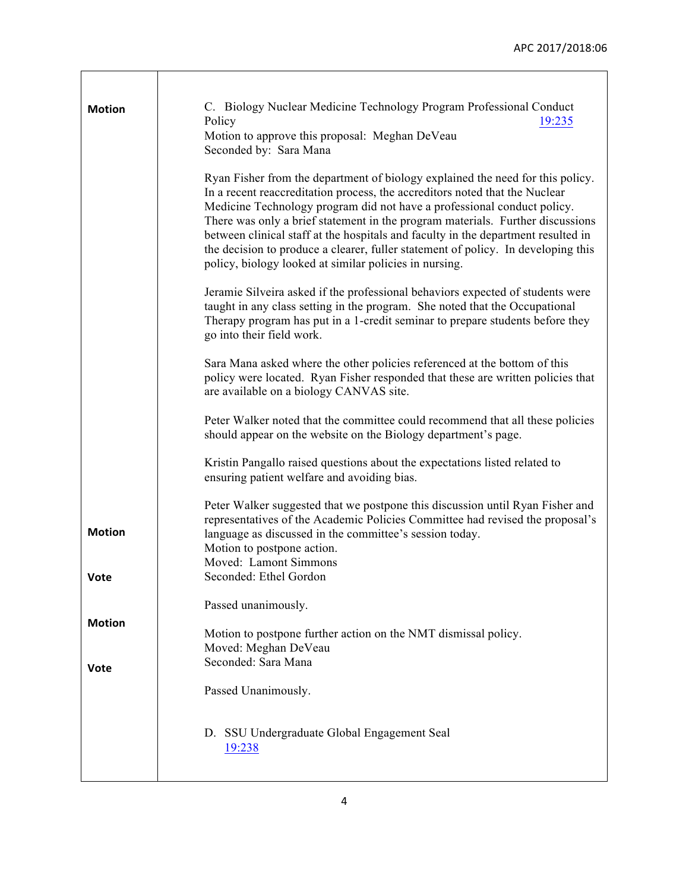| <b>Motion</b> | C. Biology Nuclear Medicine Technology Program Professional Conduct                                                                                                                                                                                                                                                                                                                                                                                                                                                                                            |
|---------------|----------------------------------------------------------------------------------------------------------------------------------------------------------------------------------------------------------------------------------------------------------------------------------------------------------------------------------------------------------------------------------------------------------------------------------------------------------------------------------------------------------------------------------------------------------------|
|               | Policy<br><u>19:235</u><br>Motion to approve this proposal: Meghan DeVeau<br>Seconded by: Sara Mana                                                                                                                                                                                                                                                                                                                                                                                                                                                            |
|               | Ryan Fisher from the department of biology explained the need for this policy.<br>In a recent reaccreditation process, the accreditors noted that the Nuclear<br>Medicine Technology program did not have a professional conduct policy.<br>There was only a brief statement in the program materials. Further discussions<br>between clinical staff at the hospitals and faculty in the department resulted in<br>the decision to produce a clearer, fuller statement of policy. In developing this<br>policy, biology looked at similar policies in nursing. |
|               | Jeramie Silveira asked if the professional behaviors expected of students were<br>taught in any class setting in the program. She noted that the Occupational<br>Therapy program has put in a 1-credit seminar to prepare students before they<br>go into their field work.                                                                                                                                                                                                                                                                                    |
|               | Sara Mana asked where the other policies referenced at the bottom of this<br>policy were located. Ryan Fisher responded that these are written policies that<br>are available on a biology CANVAS site.                                                                                                                                                                                                                                                                                                                                                        |
|               | Peter Walker noted that the committee could recommend that all these policies<br>should appear on the website on the Biology department's page.                                                                                                                                                                                                                                                                                                                                                                                                                |
|               | Kristin Pangallo raised questions about the expectations listed related to<br>ensuring patient welfare and avoiding bias.                                                                                                                                                                                                                                                                                                                                                                                                                                      |
| <b>Motion</b> | Peter Walker suggested that we postpone this discussion until Ryan Fisher and<br>representatives of the Academic Policies Committee had revised the proposal's<br>language as discussed in the committee's session today.<br>Motion to postpone action.<br>Moved: Lamont Simmons                                                                                                                                                                                                                                                                               |
| Vote          | Seconded: Ethel Gordon                                                                                                                                                                                                                                                                                                                                                                                                                                                                                                                                         |
|               | Passed unanimously.                                                                                                                                                                                                                                                                                                                                                                                                                                                                                                                                            |
| <b>Motion</b> | Motion to postpone further action on the NMT dismissal policy.<br>Moved: Meghan DeVeau<br>Seconded: Sara Mana                                                                                                                                                                                                                                                                                                                                                                                                                                                  |
| <b>Vote</b>   |                                                                                                                                                                                                                                                                                                                                                                                                                                                                                                                                                                |
|               | Passed Unanimously.                                                                                                                                                                                                                                                                                                                                                                                                                                                                                                                                            |
|               | D. SSU Undergraduate Global Engagement Seal<br>19:238                                                                                                                                                                                                                                                                                                                                                                                                                                                                                                          |

 $\mathsf{I}$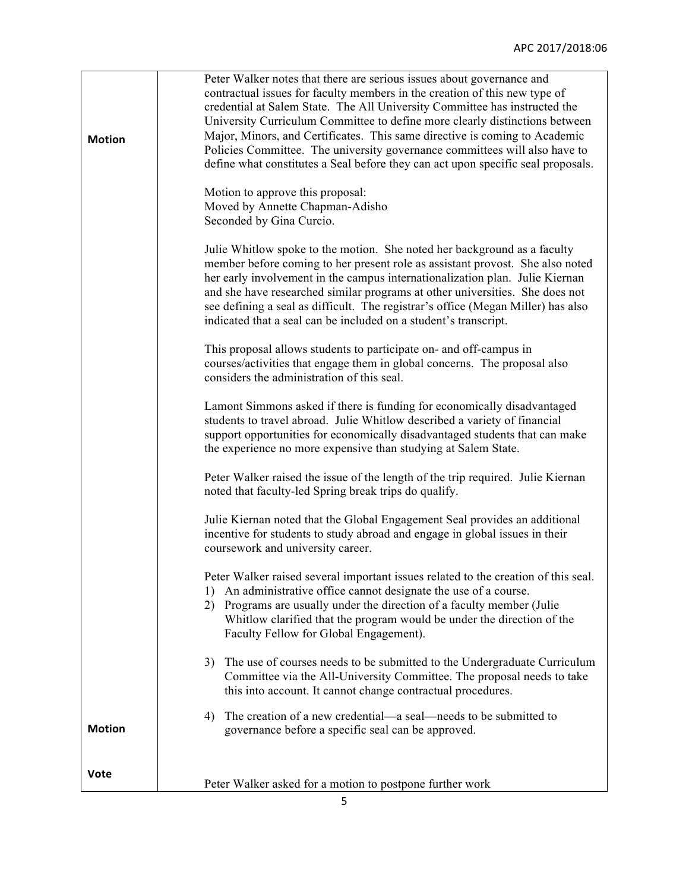| <b>Motion</b> | Peter Walker notes that there are serious issues about governance and<br>contractual issues for faculty members in the creation of this new type of<br>credential at Salem State. The All University Committee has instructed the<br>University Curriculum Committee to define more clearly distinctions between<br>Major, Minors, and Certificates. This same directive is coming to Academic<br>Policies Committee. The university governance committees will also have to<br>define what constitutes a Seal before they can act upon specific seal proposals. |
|---------------|------------------------------------------------------------------------------------------------------------------------------------------------------------------------------------------------------------------------------------------------------------------------------------------------------------------------------------------------------------------------------------------------------------------------------------------------------------------------------------------------------------------------------------------------------------------|
|               | Motion to approve this proposal:<br>Moved by Annette Chapman-Adisho<br>Seconded by Gina Curcio.                                                                                                                                                                                                                                                                                                                                                                                                                                                                  |
|               | Julie Whitlow spoke to the motion. She noted her background as a faculty<br>member before coming to her present role as assistant provost. She also noted<br>her early involvement in the campus internationalization plan. Julie Kiernan<br>and she have researched similar programs at other universities. She does not<br>see defining a seal as difficult. The registrar's office (Megan Miller) has also<br>indicated that a seal can be included on a student's transcript.                                                                                |
|               | This proposal allows students to participate on- and off-campus in<br>courses/activities that engage them in global concerns. The proposal also<br>considers the administration of this seal.                                                                                                                                                                                                                                                                                                                                                                    |
|               | Lamont Simmons asked if there is funding for economically disadvantaged<br>students to travel abroad. Julie Whitlow described a variety of financial<br>support opportunities for economically disadvantaged students that can make<br>the experience no more expensive than studying at Salem State.                                                                                                                                                                                                                                                            |
|               | Peter Walker raised the issue of the length of the trip required. Julie Kiernan<br>noted that faculty-led Spring break trips do qualify.                                                                                                                                                                                                                                                                                                                                                                                                                         |
|               | Julie Kiernan noted that the Global Engagement Seal provides an additional<br>incentive for students to study abroad and engage in global issues in their<br>coursework and university career.                                                                                                                                                                                                                                                                                                                                                                   |
|               | Peter Walker raised several important issues related to the creation of this seal.<br>An administrative office cannot designate the use of a course.<br>1)<br>Programs are usually under the direction of a faculty member (Julie<br>2)<br>Whitlow clarified that the program would be under the direction of the<br>Faculty Fellow for Global Engagement).                                                                                                                                                                                                      |
|               | The use of courses needs to be submitted to the Undergraduate Curriculum<br>3)<br>Committee via the All-University Committee. The proposal needs to take<br>this into account. It cannot change contractual procedures.                                                                                                                                                                                                                                                                                                                                          |
| <b>Motion</b> | The creation of a new credential—a seal—needs to be submitted to<br>4)<br>governance before a specific seal can be approved.                                                                                                                                                                                                                                                                                                                                                                                                                                     |
| <b>Vote</b>   | Peter Walker asked for a motion to postpone further work                                                                                                                                                                                                                                                                                                                                                                                                                                                                                                         |